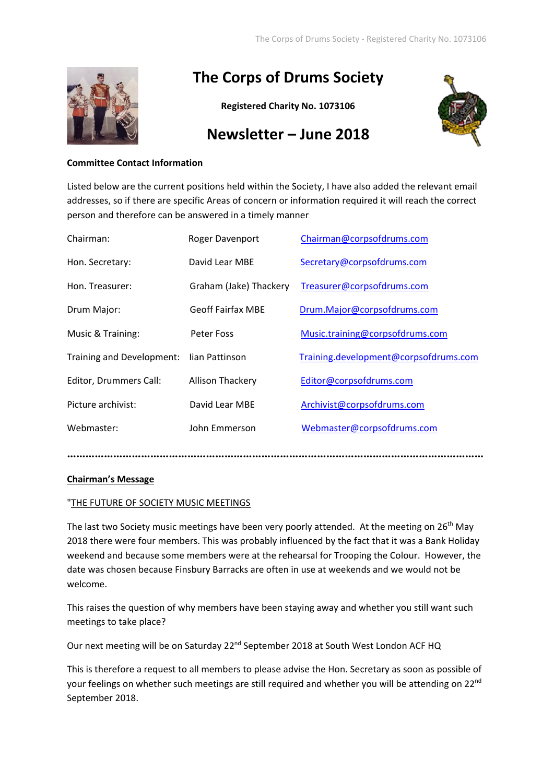

# **The Corps of Drums Society**

**Registered Charity No. 1073106**



## **Newsletter – June 2018**

## **Committee Contact Information**

Listed below are the current positions held within the Society, I have also added the relevant email addresses, so if there are specific Areas of concern or information required it will reach the correct person and therefore can be answered in a timely manner

| Chairman:                 | Roger Davenport          | Chairman@corpsofdrums.com             |  |
|---------------------------|--------------------------|---------------------------------------|--|
| Hon. Secretary:           | David Lear MBE           | Secretary@corpsofdrums.com            |  |
| Hon. Treasurer:           | Graham (Jake) Thackery   | Treasurer@corpsofdrums.com            |  |
| Drum Major:               | <b>Geoff Fairfax MBE</b> | Drum.Major@corpsofdrums.com           |  |
| Music & Training:         | Peter Foss               | Music.training@corpsofdrums.com       |  |
| Training and Development: | lian Pattinson           | Training.development@corpsofdrums.com |  |
| Editor, Drummers Call:    | <b>Allison Thackery</b>  | Editor@corpsofdrums.com               |  |
| Picture archivist:        | David Lear MBE           | Archivist@corpsofdrums.com            |  |
| Webmaster:                | John Emmerson            | Webmaster@corpsofdrums.com            |  |
|                           |                          |                                       |  |

## **Chairman's Message**

## "THE FUTURE OF SOCIETY MUSIC MEETINGS

The last two Society music meetings have been very poorly attended. At the meeting on 26<sup>th</sup> May 2018 there were four members. This was probably influenced by the fact that it was a Bank Holiday weekend and because some members were at the rehearsal for Trooping the Colour. However, the date was chosen because Finsbury Barracks are often in use at weekends and we would not be welcome.

This raises the question of why members have been staying away and whether you still want such meetings to take place?

Our next meeting will be on Saturday 22<sup>nd</sup> September 2018 at South West London ACF HQ

This is therefore a request to all members to please advise the Hon. Secretary as soon as possible of your feelings on whether such meetings are still required and whether you will be attending on 22<sup>nd</sup> September 2018.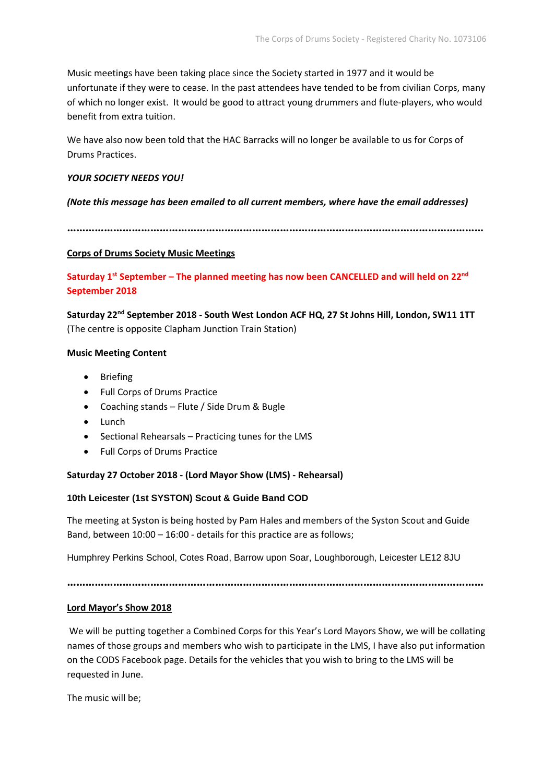Music meetings have been taking place since the Society started in 1977 and it would be unfortunate if they were to cease. In the past attendees have tended to be from civilian Corps, many of which no longer exist. It would be good to attract young drummers and flute-players, who would benefit from extra tuition.

We have also now been told that the HAC Barracks will no longer be available to us for Corps of Drums Practices.

## *YOUR SOCIETY NEEDS YOU!*

#### *(Note this message has been emailed to all current members, where have the email addresses)*

**………………………………………………………………………………………………………………………**

#### **Corps of Drums Society Music Meetings**

**Saturday 1st September – The planned meeting has now been CANCELLED and will held on 22nd September 2018**

**Saturday 22nd September 2018 - South West London ACF HQ, 27 St Johns Hill, London, SW11 1TT** (The centre is opposite Clapham Junction Train Station)

#### **Music Meeting Content**

- Briefing
- Full Corps of Drums Practice
- Coaching stands Flute / Side Drum & Bugle
- Lunch
- Sectional Rehearsals Practicing tunes for the LMS
- Full Corps of Drums Practice

#### **Saturday 27 October 2018 - (Lord Mayor Show (LMS) - Rehearsal)**

## **10th Leicester (1st SYSTON) Scout & Guide Band COD**

The meeting at Syston is being hosted by Pam Hales and members of the Syston Scout and Guide Band, between 10:00 – 16:00 - details for this practice are as follows;

Humphrey Perkins School, Cotes Road, Barrow upon Soar, Loughborough, Leicester LE12 8JU

**………………………………………………………………………………………………………………………**

#### **Lord Mayor's Show 2018**

We will be putting together a Combined Corps for this Year's Lord Mayors Show, we will be collating names of those groups and members who wish to participate in the LMS, I have also put information on the CODS Facebook page. Details for the vehicles that you wish to bring to the LMS will be requested in June.

The music will be;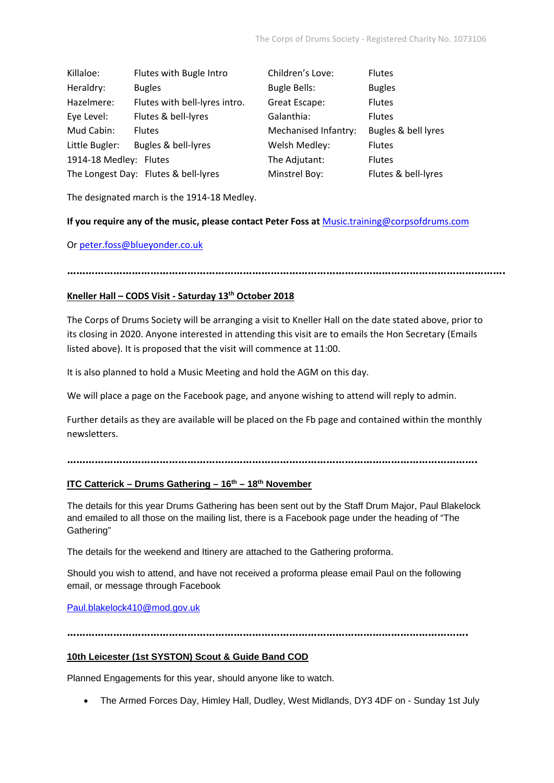| Killaloe:              | Flutes with Bugle Intro              | Children's Love:     | <b>Flutes</b>       |
|------------------------|--------------------------------------|----------------------|---------------------|
| Heraldry:              | <b>Bugles</b>                        | <b>Bugle Bells:</b>  | <b>Bugles</b>       |
| Hazelmere:             | Flutes with bell-lyres intro.        | Great Escape:        | <b>Flutes</b>       |
| Eye Level:             | Flutes & bell-lyres                  | Galanthia:           | <b>Flutes</b>       |
| Mud Cabin:             | <b>Flutes</b>                        | Mechanised Infantry: | Bugles & bell lyres |
| Little Bugler:         | Bugles & bell-lyres                  | Welsh Medley:        | <b>Flutes</b>       |
| 1914-18 Medley: Flutes |                                      | The Adjutant:        | <b>Flutes</b>       |
|                        | The Longest Day: Flutes & bell-lyres | Minstrel Boy:        | Flutes & bell-lyres |

The designated march is the 1914-18 Medley.

#### **If you require any of the music, please contact Peter Foss at** [Music.training@corpsofdrums.com](mailto:Music.training@corpsofdrums.com)

#### O[r peter.foss@blueyonder.co.uk](mailto:peter.foss@blueyonder.co.uk)

**…………………………………………………………………………………………………………………………….**

## **Kneller Hall – CODS Visit - Saturday 13th October 2018**

The Corps of Drums Society will be arranging a visit to Kneller Hall on the date stated above, prior to its closing in 2020. Anyone interested in attending this visit are to emails the Hon Secretary (Emails listed above). It is proposed that the visit will commence at 11:00.

It is also planned to hold a Music Meeting and hold the AGM on this day.

We will place a page on the Facebook page, and anyone wishing to attend will reply to admin.

Further details as they are available will be placed on the Fb page and contained within the monthly newsletters.

**…………………………………………………………………………………………………………………….**

## **ITC Catterick – Drums Gathering – 16th – 18th November**

The details for this year Drums Gathering has been sent out by the Staff Drum Major, Paul Blakelock and emailed to all those on the mailing list, there is a Facebook page under the heading of "The Gathering"

The details for the weekend and Itinery are attached to the Gathering proforma.

Should you wish to attend, and have not received a proforma please email Paul on the following email, or message through Facebook

[Paul.blakelock410@mod.gov.uk](mailto:Paul.blakelock410@mod.gov.uk)

**………………………………………………………………………………………………………………….**

## **10th Leicester (1st SYSTON) Scout & Guide Band COD**

Planned Engagements for this year, should anyone like to watch.

• The Armed Forces Day, Himley Hall, Dudley, West Midlands, DY3 4DF on - Sunday 1st July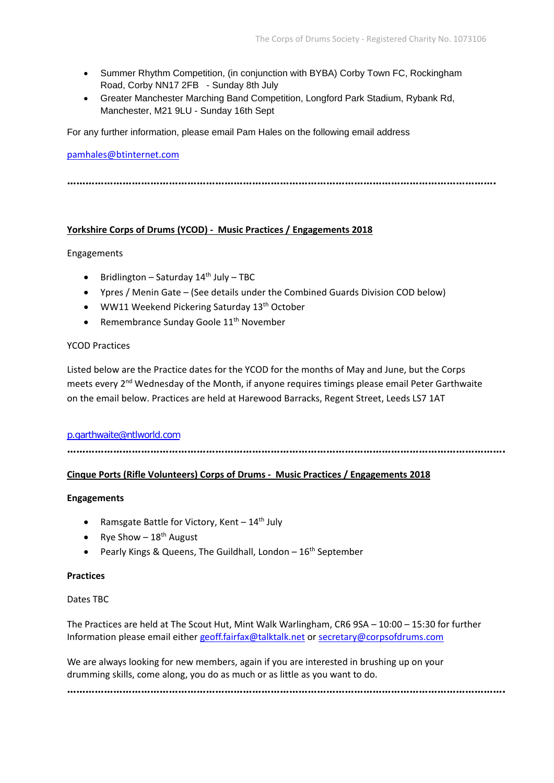- Summer Rhythm Competition, (in conjunction with BYBA) Corby Town FC, Rockingham Road, Corby NN17 2FB - Sunday 8th July
- Greater Manchester Marching Band Competition, Longford Park Stadium, Rybank Rd, Manchester, M21 9LU - Sunday 16th Sept

For any further information, please email Pam Hales on the following email address

#### [pamhales@btinternet.com](mailto:pamhales@btinternet.com)

**………………………………………………………………………………………………………………………….**

#### **Yorkshire Corps of Drums (YCOD) - Music Practices / Engagements 2018**

#### Engagements

- Bridlington Saturday  $14<sup>th</sup>$  July TBC
- Ypres / Menin Gate (See details under the Combined Guards Division COD below)
- WW11 Weekend Pickering Saturday  $13<sup>th</sup>$  October
- Remembrance Sunday Goole 11<sup>th</sup> November

## YCOD Practices

Listed below are the Practice dates for the YCOD for the months of May and June, but the Corps meets every 2<sup>nd</sup> Wednesday of the Month, if anyone requires timings please email Peter Garthwaite on the email below. Practices are held at Harewood Barracks, Regent Street, Leeds LS7 1AT

#### [p.garthwaite@ntlworld.com](mailto:p.garthwaite@ntlworld.com)

**…………………………………………………………………………………………………………………………….**

## **Cinque Ports (Rifle Volunteers) Corps of Drums - Music Practices / Engagements 2018**

#### **Engagements**

- Ramsgate Battle for Victory, Kent  $-14$ <sup>th</sup> July
- Rye Show  $-18^{th}$  August
- Pearly Kings & Queens, The Guildhall, London  $-16<sup>th</sup>$  September

## **Practices**

## Dates TBC

The Practices are held at The Scout Hut, Mint Walk Warlingham, CR6 9SA – 10:00 – 15:30 for further Information please email either [geoff.fairfax@talktalk.net](mailto:geoff.fairfax@talktalk.net) or [secretary@corpsofdrums.com](mailto:secretary@corpsofdrums.com)

We are always looking for new members, again if you are interested in brushing up on your drumming skills, come along, you do as much or as little as you want to do.

**…………………………………………………………………………………………………………………………….**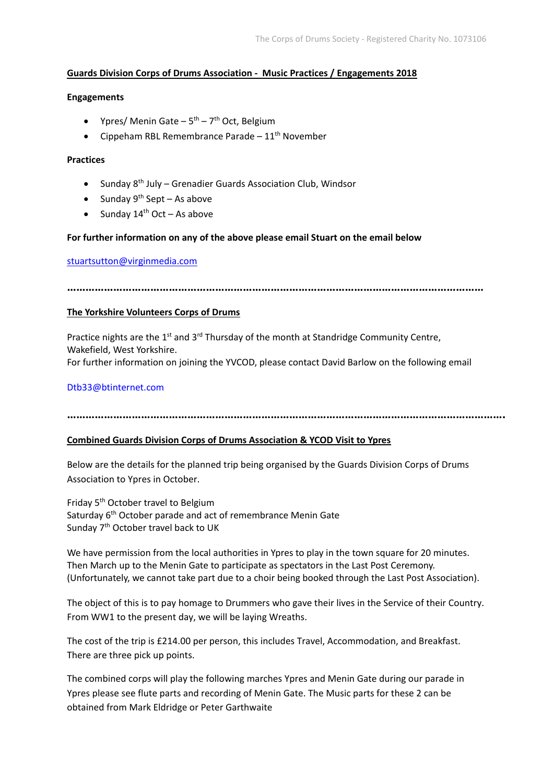## **Guards Division Corps of Drums Association - Music Practices / Engagements 2018**

## **Engagements**

- Ypres/ Menin Gate  $5<sup>th</sup>$   $7<sup>th</sup>$  Oct, Belgium
- Cippeham RBL Remembrance Parade  $-11<sup>th</sup>$  November

## **Practices**

- Sunday  $8<sup>th</sup>$  July Grenadier Guards Association Club, Windsor
- Sunday  $9^{th}$  Sept As above
- Sunday  $14<sup>th</sup>$  Oct As above

## **For further information on any of the above please email Stuart on the email below**

#### [stuartsutton@virginmedia.com](mailto:stuartsutton@virginmedia.com)

**………………………………………………………………………………………………………………………**

## **The Yorkshire Volunteers Corps of Drums**

Practice nights are the 1<sup>st</sup> and 3<sup>rd</sup> Thursday of the month at Standridge Community Centre, Wakefield, West Yorkshire. For further information on joining the YVCOD, please contact David Barlow on the following email

## [Dtb33@btinternet.com](mailto:Dtb33@btinternet.com)

## **…………………………………………………………………………………………………………………………….**

## **Combined Guards Division Corps of Drums Association & YCOD Visit to Ypres**

Below are the details for the planned trip being organised by the Guards Division Corps of Drums Association to Ypres in October.

Friday 5<sup>th</sup> October travel to Belgium Saturday 6<sup>th</sup> October parade and act of remembrance Menin Gate Sunday 7<sup>th</sup> October travel back to UK

We have permission from the local authorities in Ypres to play in the town square for 20 minutes. Then March up to the Menin Gate to participate as spectators in the Last Post Ceremony. (Unfortunately, we cannot take part due to a choir being booked through the Last Post Association).

The object of this is to pay homage to Drummers who gave their lives in the Service of their Country. From WW1 to the present day, we will be laying Wreaths.

The cost of the trip is £214.00 per person, this includes Travel, Accommodation, and Breakfast. There are three pick up points.

The combined corps will play the following marches Ypres and Menin Gate during our parade in Ypres please see flute parts and recording of Menin Gate. The Music parts for these 2 can be obtained from Mark Eldridge or Peter Garthwaite